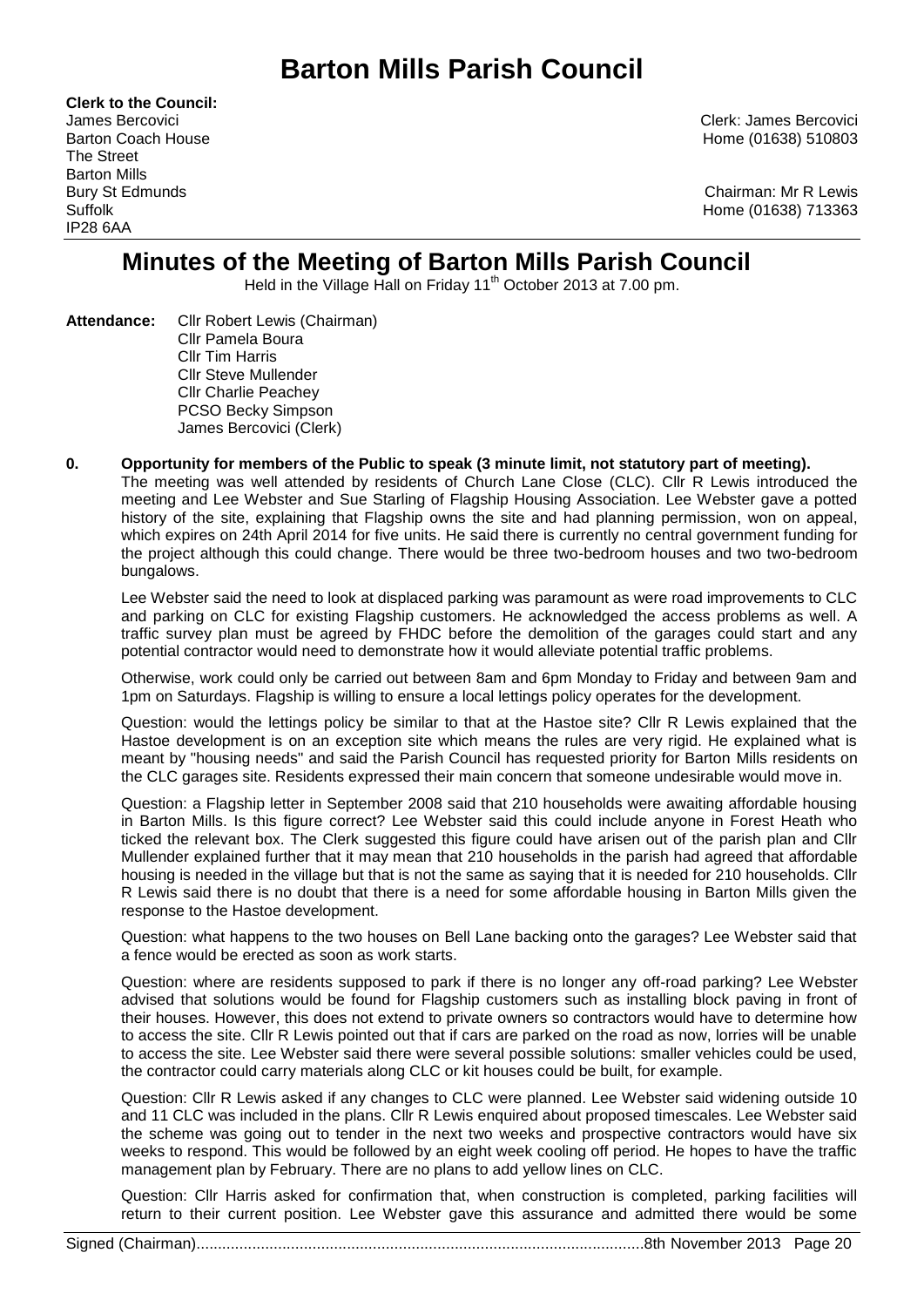# **Barton Mills Parish Council**

**Clerk to the Council:** The Street Barton Mills IP28 6AA

James Bercovici Clerk: James Bercovici Barton Coach House **Home (01638)** 510803

Bury St Edmunds Chairman: Mr R Lewis Suffolk Home (01638) 713363

# **Minutes of the Meeting of Barton Mills Parish Council**

Held in the Village Hall on Friday 11<sup>th</sup> October 2013 at 7.00 pm.

- **Attendance:** Cllr Robert Lewis (Chairman) Cllr Pamela Boura Cllr Tim Harris Cllr Steve Mullender Cllr Charlie Peachey PCSO Becky Simpson James Bercovici (Clerk)
- **0. Opportunity for members of the Public to speak (3 minute limit, not statutory part of meeting).**  The meeting was well attended by residents of Church Lane Close (CLC). Cllr R Lewis introduced the meeting and Lee Webster and Sue Starling of Flagship Housing Association. Lee Webster gave a potted history of the site, explaining that Flagship owns the site and had planning permission, won on appeal, which expires on 24th April 2014 for five units. He said there is currently no central government funding for the project although this could change. There would be three two-bedroom houses and two two-bedroom bungalows.

Lee Webster said the need to look at displaced parking was paramount as were road improvements to CLC and parking on CLC for existing Flagship customers. He acknowledged the access problems as well. A traffic survey plan must be agreed by FHDC before the demolition of the garages could start and any potential contractor would need to demonstrate how it would alleviate potential traffic problems.

Otherwise, work could only be carried out between 8am and 6pm Monday to Friday and between 9am and 1pm on Saturdays. Flagship is willing to ensure a local lettings policy operates for the development.

Question: would the lettings policy be similar to that at the Hastoe site? Cllr R Lewis explained that the Hastoe development is on an exception site which means the rules are very rigid. He explained what is meant by "housing needs" and said the Parish Council has requested priority for Barton Mills residents on the CLC garages site. Residents expressed their main concern that someone undesirable would move in.

Question: a Flagship letter in September 2008 said that 210 households were awaiting affordable housing in Barton Mills. Is this figure correct? Lee Webster said this could include anyone in Forest Heath who ticked the relevant box. The Clerk suggested this figure could have arisen out of the parish plan and Cllr Mullender explained further that it may mean that 210 households in the parish had agreed that affordable housing is needed in the village but that is not the same as saying that it is needed for 210 households. Cllr R Lewis said there is no doubt that there is a need for some affordable housing in Barton Mills given the response to the Hastoe development.

Question: what happens to the two houses on Bell Lane backing onto the garages? Lee Webster said that a fence would be erected as soon as work starts.

Question: where are residents supposed to park if there is no longer any off-road parking? Lee Webster advised that solutions would be found for Flagship customers such as installing block paving in front of their houses. However, this does not extend to private owners so contractors would have to determine how to access the site. Cllr R Lewis pointed out that if cars are parked on the road as now, lorries will be unable to access the site. Lee Webster said there were several possible solutions: smaller vehicles could be used, the contractor could carry materials along CLC or kit houses could be built, for example.

Question: Cllr R Lewis asked if any changes to CLC were planned. Lee Webster said widening outside 10 and 11 CLC was included in the plans. Cllr R Lewis enquired about proposed timescales. Lee Webster said the scheme was going out to tender in the next two weeks and prospective contractors would have six weeks to respond. This would be followed by an eight week cooling off period. He hopes to have the traffic management plan by February. There are no plans to add yellow lines on CLC.

Question: Cllr Harris asked for confirmation that, when construction is completed, parking facilities will return to their current position. Lee Webster gave this assurance and admitted there would be some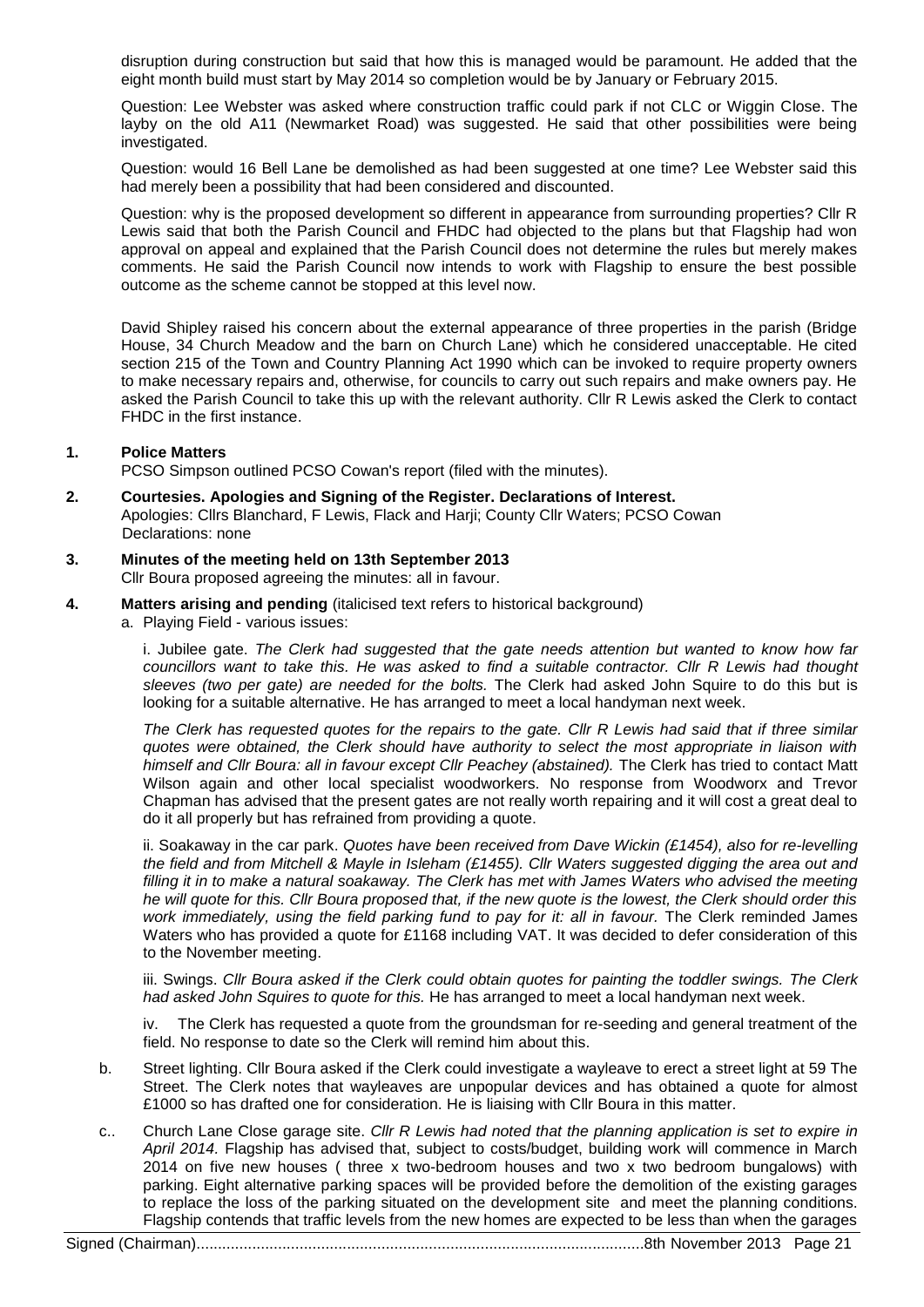disruption during construction but said that how this is managed would be paramount. He added that the eight month build must start by May 2014 so completion would be by January or February 2015.

Question: Lee Webster was asked where construction traffic could park if not CLC or Wiggin Close. The layby on the old A11 (Newmarket Road) was suggested. He said that other possibilities were being investigated.

Question: would 16 Bell Lane be demolished as had been suggested at one time? Lee Webster said this had merely been a possibility that had been considered and discounted.

Question: why is the proposed development so different in appearance from surrounding properties? Cllr R Lewis said that both the Parish Council and FHDC had objected to the plans but that Flagship had won approval on appeal and explained that the Parish Council does not determine the rules but merely makes comments. He said the Parish Council now intends to work with Flagship to ensure the best possible outcome as the scheme cannot be stopped at this level now.

David Shipley raised his concern about the external appearance of three properties in the parish (Bridge House, 34 Church Meadow and the barn on Church Lane) which he considered unacceptable. He cited section 215 of the Town and Country Planning Act 1990 which can be invoked to require property owners to make necessary repairs and, otherwise, for councils to carry out such repairs and make owners pay. He asked the Parish Council to take this up with the relevant authority. Cllr R Lewis asked the Clerk to contact FHDC in the first instance.

# **1. Police Matters**

PCSO Simpson outlined PCSO Cowan's report (filed with the minutes).

- **2. Courtesies. Apologies and Signing of the Register. Declarations of Interest.** Apologies: Cllrs Blanchard, F Lewis, Flack and Harji; County Cllr Waters; PCSO Cowan Declarations: none
- **3. Minutes of the meeting held on 13th September 2013** Cllr Boura proposed agreeing the minutes: all in favour.
- **4. Matters arising and pending** (italicised text refers to historical background)
	- a. Playing Field various issues:

i. Jubilee gate. *The Clerk had suggested that the gate needs attention but wanted to know how far councillors want to take this. He was asked to find a suitable contractor. Cllr R Lewis had thought sleeves (two per gate) are needed for the bolts.* The Clerk had asked John Squire to do this but is looking for a suitable alternative. He has arranged to meet a local handyman next week.

*The Clerk has requested quotes for the repairs to the gate. Cllr R Lewis had said that if three similar quotes were obtained, the Clerk should have authority to select the most appropriate in liaison with himself and Cllr Boura: all in favour except Cllr Peachey (abstained).* The Clerk has tried to contact Matt Wilson again and other local specialist woodworkers. No response from Woodworx and Trevor Chapman has advised that the present gates are not really worth repairing and it will cost a great deal to do it all properly but has refrained from providing a quote.

ii. Soakaway in the car park. *Quotes have been received from Dave Wickin (£1454), also for re-levelling the field and from Mitchell & Mayle in Isleham (£1455). Cllr Waters suggested digging the area out and filling it in to make a natural soakaway. The Clerk has met with James Waters who advised the meeting he will quote for this. Cllr Boura proposed that, if the new quote is the lowest, the Clerk should order this work immediately, using the field parking fund to pay for it: all in favour.* The Clerk reminded James Waters who has provided a quote for £1168 including VAT. It was decided to defer consideration of this to the November meeting.

iii. Swings. *Cllr Boura asked if the Clerk could obtain quotes for painting the toddler swings. The Clerk had asked John Squires to quote for this.* He has arranged to meet a local handyman next week.

iv. The Clerk has requested a quote from the groundsman for re-seeding and general treatment of the field. No response to date so the Clerk will remind him about this.

- b. Street lighting. Cllr Boura asked if the Clerk could investigate a wayleave to erect a street light at 59 The Street. The Clerk notes that wayleaves are unpopular devices and has obtained a quote for almost £1000 so has drafted one for consideration. He is liaising with Cllr Boura in this matter.
- c.. Church Lane Close garage site. *Cllr R Lewis had noted that the planning application is set to expire in April 2014.* Flagship has advised that, subject to costs/budget, building work will commence in March 2014 on five new houses ( three x two-bedroom houses and two x two bedroom bungalows) with parking. Eight alternative parking spaces will be provided before the demolition of the existing garages to replace the loss of the parking situated on the development site and meet the planning conditions. Flagship contends that traffic levels from the new homes are expected to be less than when the garages